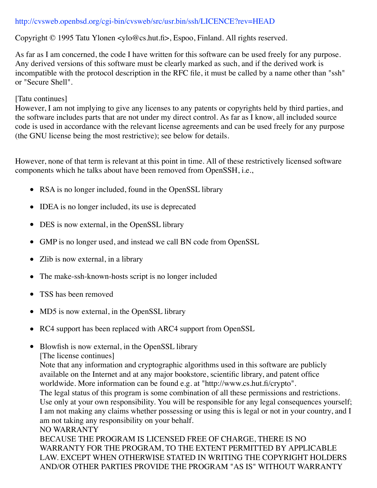## http://cvsweb.openbsd.org/cgi-bin/cvsweb/src/usr.bin/ssh/LICENCE?rev=HEAD

Copyright © 1995 Tatu Ylonen <ylo@cs.hut.fi>, Espoo, Finland. All rights reserved.

As far as I am concerned, the code I have written for this software can be used freely for any purpose. Any derived versions of this software must be clearly marked as such, and if the derived work is incompatible with the protocol description in the RFC file, it must be called by a name other than "ssh" or "Secure Shell".

## [Tatu continues]

However, I am not implying to give any licenses to any patents or copyrights held by third parties, and the software includes parts that are not under my direct control. As far as I know, all included source code is used in accordance with the relevant license agreements and can be used freely for any purpose (the GNU license being the most restrictive); see below for details.

However, none of that term is relevant at this point in time. All of these restrictively licensed software components which he talks about have been removed from OpenSSH, i.e.,

- RSA is no longer included, found in the OpenSSL library
- IDEA is no longer included, its use is deprecated
- DES is now external, in the OpenSSL library
- GMP is no longer used, and instead we call BN code from OpenSSL
- Zlib is now external, in a library
- The make-ssh-known-hosts script is no longer included
- TSS has been removed
- MD5 is now external, in the OpenSSL library  $\bullet$
- RC4 support has been replaced with ARC4 support from OpenSSL
- Blowfish is now external, in the OpenSSL library
	- [The license continues]

Note that any information and cryptographic algorithms used in this software are publicly available on the Internet and at any major bookstore, scientific library, and patent office worldwide. More information can be found e.g. at "http://www.cs.hut.fi/crypto".

The legal status of this program is some combination of all these permissions and restrictions. Use only at your own responsibility. You will be responsible for any legal consequences yourself; I am not making any claims whether possessing or using this is legal or not in your country, and I am not taking any responsibility on your behalf.

## NO WARRANTY

BECAUSE THE PROGRAM IS LICENSED FREE OF CHARGE, THERE IS NO WARRANTY FOR THE PROGRAM, TO THE EXTENT PERMITTED BY APPLICABLE LAW. EXCEPT WHEN OTHERWISE STATED IN WRITING THE COPYRIGHT HOLDERS AND/OR OTHER PARTIES PROVIDE THE PROGRAM "AS IS" WITHOUT WARRANTY